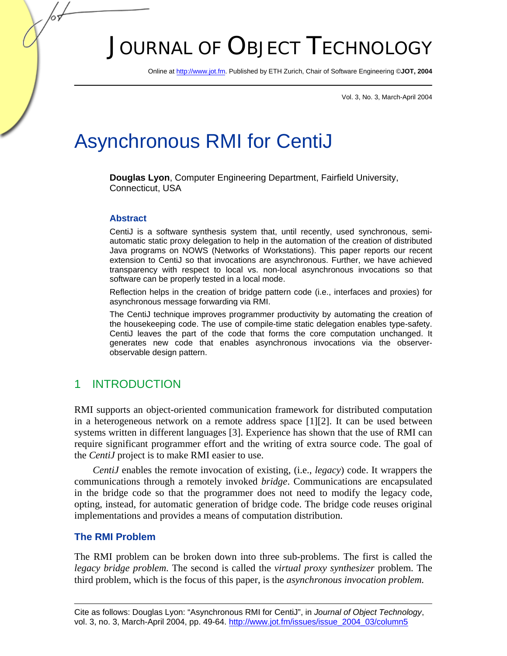# JOURNAL OF OBJECT TECHNOLOGY

Online a[t http://www.jot.fm.](http://www.jot.fm) Published by ETH Zurich, Chair of Software Engineering ©**JOT, 2004** 

Vol. 3, No. 3, March-April 2004

## Asynchronous RMI for CentiJ

**Douglas Lyon**, Computer Engineering Department, Fairfield University, Connecticut, USA

#### **Abstract**

CentiJ is a software synthesis system that, until recently, used synchronous, semiautomatic static proxy delegation to help in the automation of the creation of distributed Java programs on NOWS (Networks of Workstations). This paper reports our recent extension to CentiJ so that invocations are asynchronous. Further, we have achieved transparency with respect to local vs. non-local asynchronous invocations so that software can be properly tested in a local mode.

Reflection helps in the creation of bridge pattern code (i.e., interfaces and proxies) for asynchronous message forwarding via RMI.

The CentiJ technique improves programmer productivity by automating the creation of the housekeeping code. The use of compile-time static delegation enables type-safety. CentiJ leaves the part of the code that forms the core computation unchanged. It generates new code that enables asynchronous invocations via the observerobservable design pattern.

#### 1 INTRODUCTION

RMI supports an object-oriented communication framework for distributed computation in a heterogeneous network on a remote address space [1][2]. It can be used between systems written in different languages [3]. Experience has shown that the use of RMI can require significant programmer effort and the writing of extra source code. The goal of the *CentiJ* project is to make RMI easier to use.

*CentiJ* enables the remote invocation of existing, (i.e., *legacy*) code. It wrappers the communications through a remotely invoked *bridge*. Communications are encapsulated in the bridge code so that the programmer does not need to modify the legacy code, opting, instead, for automatic generation of bridge code. The bridge code reuses original implementations and provides a means of computation distribution.

#### **The RMI Problem**

The RMI problem can be broken down into three sub-problems. The first is called the *legacy bridge problem*. The second is called the *virtual proxy synthesizer* problem. The third problem, which is the focus of this paper, is the *asynchronous invocation problem.*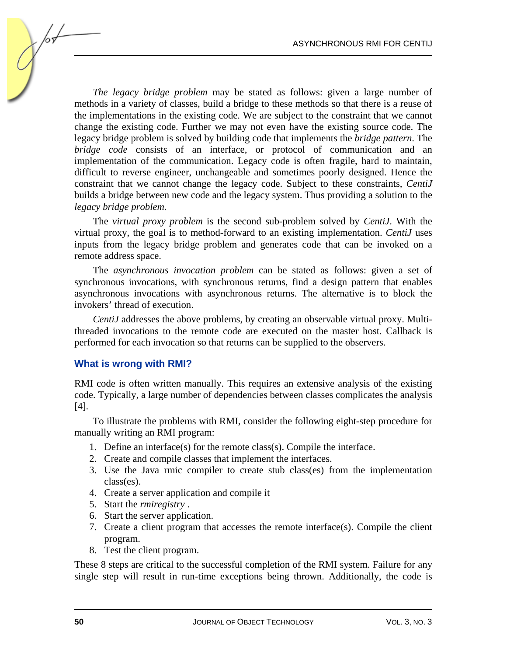*The legacy bridge problem* may be stated as follows: given a large number of methods in a variety of classes, build a bridge to these methods so that there is a reuse of the implementations in the existing code. We are subject to the constraint that we cannot change the existing code. Further we may not even have the existing source code. The legacy bridge problem is solved by building code that implements the *bridge pattern*. The *bridge code* consists of an interface, or protocol of communication and an implementation of the communication. Legacy code is often fragile, hard to maintain, difficult to reverse engineer, unchangeable and sometimes poorly designed. Hence the constraint that we cannot change the legacy code. Subject to these constraints, *CentiJ* builds a bridge between new code and the legacy system. Thus providing a solution to the *legacy bridge problem.*

The *virtual proxy problem* is the second sub-problem solved by *CentiJ*. With the virtual proxy, the goal is to method-forward to an existing implementation. *CentiJ* uses inputs from the legacy bridge problem and generates code that can be invoked on a remote address space.

The *asynchronous invocation problem* can be stated as follows: given a set of synchronous invocations, with synchronous returns, find a design pattern that enables asynchronous invocations with asynchronous returns. The alternative is to block the invokers' thread of execution.

*CentiJ* addresses the above problems, by creating an observable virtual proxy. Multithreaded invocations to the remote code are executed on the master host. Callback is performed for each invocation so that returns can be supplied to the observers.

#### **What is wrong with RMI?**

RMI code is often written manually. This requires an extensive analysis of the existing code. Typically, a large number of dependencies between classes complicates the analysis [4].

To illustrate the problems with RMI, consider the following eight-step procedure for manually writing an RMI program:

- 1. Define an interface(s) for the remote class(s). Compile the interface.
- 2. Create and compile classes that implement the interfaces.
- 3. Use the Java rmic compiler to create stub class(es) from the implementation class(es).
- 4. Create a server application and compile it
- 5. Start the *rmiregistry* .
- 6. Start the server application.
- 7. Create a client program that accesses the remote interface(s). Compile the client program.
- 8. Test the client program.

These 8 steps are critical to the successful completion of the RMI system. Failure for any single step will result in run-time exceptions being thrown. Additionally, the code is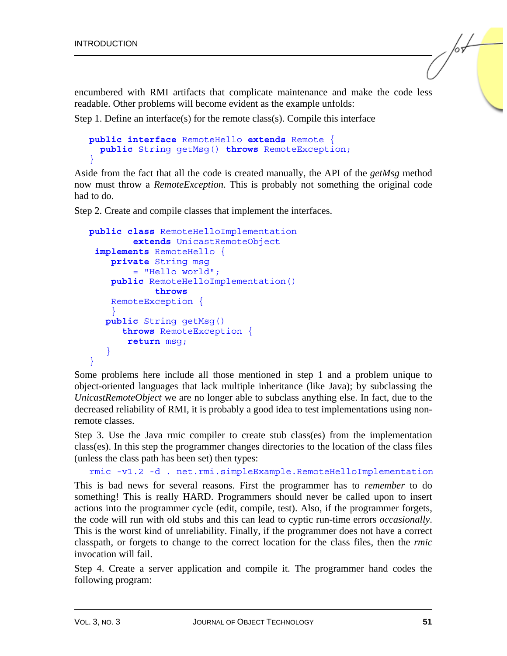encumbered with RMI artifacts that complicate maintenance and make the code less readable. Other problems will become evident as the example unfolds:

Step 1. Define an interface(s) for the remote class(s). Compile this interface

```
public interface RemoteHello extends Remote { 
   public String getMsg() throws RemoteException; 
}
```
Aside from the fact that all the code is created manually, the API of the *getMsg* method now must throw a *RemoteException*. This is probably not something the original code had to do.

Step 2. Create and compile classes that implement the interfaces.

```
public class RemoteHelloImplementation 
          extends UnicastRemoteObject 
 implements RemoteHello { 
     private String msg 
          = "Hello world"; 
     public RemoteHelloImplementation() 
              throws 
     RemoteException { 
 } 
    public String getMsg() 
       throws RemoteException { 
         return msg; 
\rightarrow }
}
```
Some problems here include all those mentioned in step 1 and a problem unique to object-oriented languages that lack multiple inheritance (like Java); by subclassing the *UnicastRemoteObject* we are no longer able to subclass anything else. In fact, due to the decreased reliability of RMI, it is probably a good idea to test implementations using nonremote classes.

Step 3. Use the Java rmic compiler to create stub class(es) from the implementation class(es). In this step the programmer changes directories to the location of the class files (unless the class path has been set) then types:

```
rmic -v1.2 -d . net.rmi.simpleExample.RemoteHelloImplementation
```
This is bad news for several reasons. First the programmer has to *remember* to do something! This is really HARD. Programmers should never be called upon to insert actions into the programmer cycle (edit, compile, test). Also, if the programmer forgets, the code will run with old stubs and this can lead to cyptic run-time errors *occasionally*. This is the worst kind of unreliability. Finally, if the programmer does not have a correct classpath, or forgets to change to the correct location for the class files, then the *rmic* invocation will fail.

Step 4. Create a server application and compile it. The programmer hand codes the following program: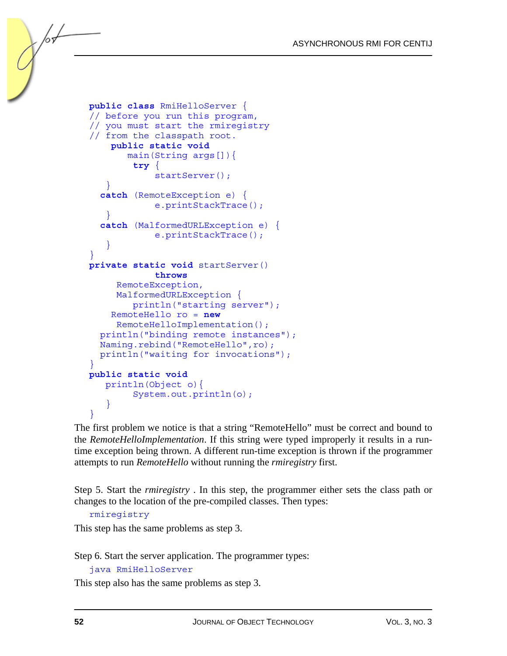```
public class RmiHelloServer { 
// before you run this program, 
// you must start the rmiregistry 
// from the classpath root. 
     public static void 
         main(String args[]){ 
           try { 
               startServer(); 
\rightarrow }
   catch (RemoteException e) { 
               e.printStackTrace(); 
    } 
   catch (MalformedURLException e) { 
               e.printStackTrace(); 
\rightarrow }
} 
private static void startServer() 
               throws 
       RemoteException, 
       MalformedURLException { 
          println("starting server"); 
      RemoteHello ro = new 
       RemoteHelloImplementation(); 
   println("binding remote instances"); 
  Naming.rebind("RemoteHello",ro);
   println("waiting for invocations"); 
} 
public static void 
    println(Object o){ 
          System.out.println(o); 
\left\{\begin{array}{cc} 1 & 1 \\ 1 & 1 \end{array}\right\}}
```
The first problem we notice is that a string "RemoteHello" must be correct and bound to the *RemoteHelloImplementation*. If this string were typed improperly it results in a runtime exception being thrown. A different run-time exception is thrown if the programmer attempts to run *RemoteHello* without running the *rmiregistry* first.

Step 5. Start the *rmiregistry* . In this step, the programmer either sets the class path or changes to the location of the pre-compiled classes. Then types:

```
rmiregistry
```
This step has the same problems as step 3.

Step 6. Start the server application. The programmer types:

java RmiHelloServer

This step also has the same problems as step 3.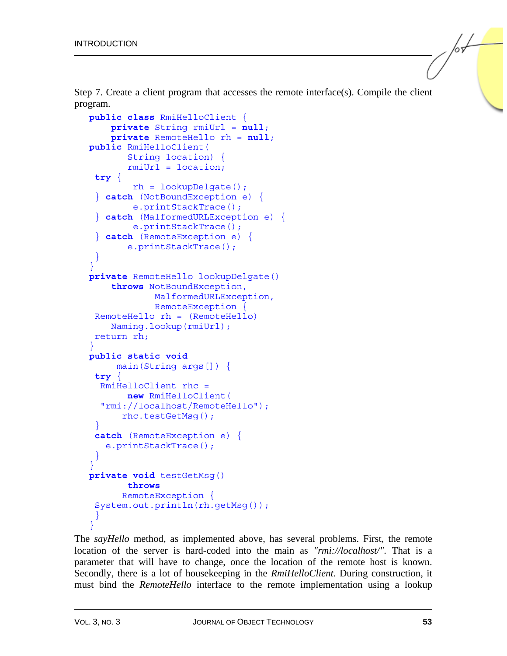Step 7. Create a client program that accesses the remote interface(s). Compile the client program.

```
public class RmiHelloClient { 
     private String rmiUrl = null; 
     private RemoteHello rh = null; 
public RmiHelloClient( 
        String location) { 
        rmiUrl = location; 
  try { 
          rh = lookupDelgate(); 
  } catch (NotBoundException e) { 
          e.printStackTrace(); 
  } catch (MalformedURLException e) { 
          e.printStackTrace(); 
   } catch (RemoteException e) { 
        e.printStackTrace(); 
 } 
} 
private RemoteHello lookupDelgate() 
     throws NotBoundException, 
              MalformedURLException, 
              RemoteException { 
  RemoteHello rh = (RemoteHello) 
     Naming.lookup(rmiUrl); 
  return rh; 
} 
public static void 
      main(String args[]) { 
 try { 
   RmiHelloClient rhc = 
        new RmiHelloClient( 
   "rmi://localhost/RemoteHello"); 
       rhc.testGetMsg(); 
 } 
 catch (RemoteException e) { 
    e.printStackTrace(); 
  } 
} 
private void testGetMsg() 
        throws
       RemoteException { 
 System.out.println(rh.getMsg());
 } 
}
```
The *sayHello* method, as implemented above, has several problems. First, the remote location of the server is hard-coded into the main as *"rmi://localhost/"*. That is a parameter that will have to change, once the location of the remote host is known. Secondly, there is a lot of housekeeping in the *RmiHelloClient.* During construction, it must bind the *RemoteHello* interface to the remote implementation using a lookup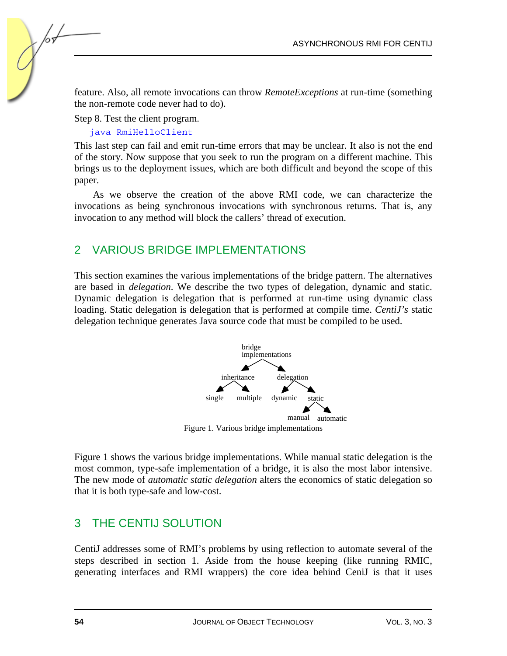feature. Also, all remote invocations can throw *RemoteExceptions* at run-time (something the non-remote code never had to do).

Step 8. Test the client program.

java RmiHelloClient

This last step can fail and emit run-time errors that may be unclear. It also is not the end of the story. Now suppose that you seek to run the program on a different machine. This brings us to the deployment issues, which are both difficult and beyond the scope of this paper.

As we observe the creation of the above RMI code, we can characterize the invocations as being synchronous invocations with synchronous returns. That is, any invocation to any method will block the callers' thread of execution.

## 2 VARIOUS BRIDGE IMPLEMENTATIONS

This section examines the various implementations of the bridge pattern. The alternatives are based in *delegation*. We describe the two types of delegation, dynamic and static. Dynamic delegation is delegation that is performed at run-time using dynamic class loading. Static delegation is delegation that is performed at compile time. *CentiJ's* static delegation technique generates Java source code that must be compiled to be used.



Figure 1. Various bridge implementations

Figure 1 shows the various bridge implementations. While manual static delegation is the most common, type-safe implementation of a bridge, it is also the most labor intensive. The new mode of *automatic static delegation* alters the economics of static delegation so that it is both type-safe and low-cost.

## 3 THE CENTIJ SOLUTION

CentiJ addresses some of RMI's problems by using reflection to automate several of the steps described in section 1. Aside from the house keeping (like running RMIC, generating interfaces and RMI wrappers) the core idea behind CeniJ is that it uses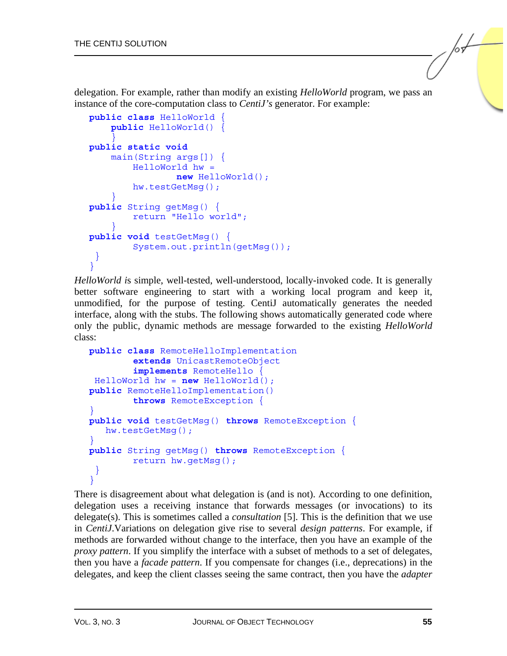delegation. For example, rather than modify an existing *HelloWorld* program, we pass an instance of the core-computation class to *CentiJ's* generator. For example:

```
public class HelloWorld { 
     public HelloWorld() { 
 } 
public static void 
     main(String args[]) { 
         HelloWorld hw = 
                  new HelloWorld(); 
         hw.testGetMsg(); 
 } 
public String getMsg() { 
          return "Hello world"; 
 } 
public void testGetMsg() { 
          System.out.println(getMsg()); 
 } 
\overline{ }
```
*HelloWorld i*s simple, well-tested, well-understood, locally-invoked code. It is generally better software engineering to start with a working local program and keep it, unmodified, for the purpose of testing. CentiJ automatically generates the needed interface, along with the stubs. The following shows automatically generated code where only the public, dynamic methods are message forwarded to the existing *HelloWorld* class:

```
public class RemoteHelloImplementation 
         extends UnicastRemoteObject 
         implements RemoteHello { 
  HelloWorld hw = new HelloWorld(); 
public RemoteHelloImplementation() 
         throws RemoteException { 
} 
public void testGetMsg() throws RemoteException { 
    hw.testGetMsg(); 
} 
public String getMsg() throws RemoteException { 
         return hw.getMsg(); 
 } 
}
```
There is disagreement about what delegation is (and is not). According to one definition, delegation uses a receiving instance that forwards messages (or invocations) to its delegate(s). This is sometimes called a *consultation* [5]. This is the definition that we use in *CentiJ*.Variations on delegation give rise to several *design patterns*. For example, if methods are forwarded without change to the interface, then you have an example of the *proxy pattern*. If you simplify the interface with a subset of methods to a set of delegates, then you have a *facade pattern*. If you compensate for changes (i.e., deprecations) in the delegates, and keep the client classes seeing the same contract, then you have the *adapter*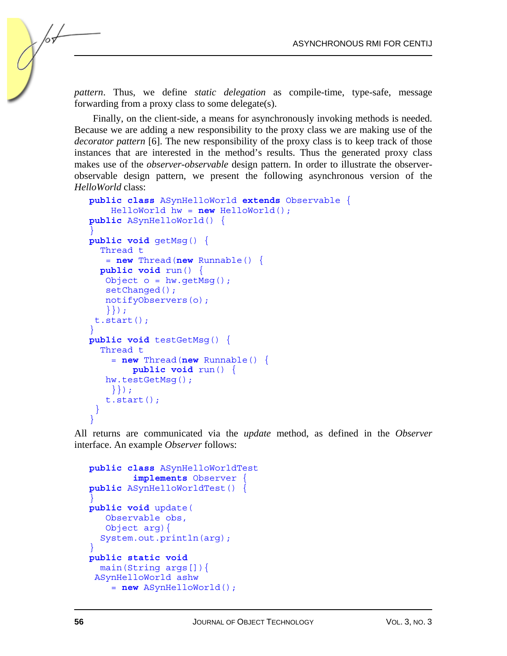*pattern*. Thus, we define *static delegation* as compile-time, type-safe, message forwarding from a proxy class to some delegate(s).

Finally, on the client-side, a means for asynchronously invoking methods is needed. Because we are adding a new responsibility to the proxy class we are making use of the *decorator pattern* [6]. The new responsibility of the proxy class is to keep track of those instances that are interested in the method's results. Thus the generated proxy class makes use of the *observer-observable* design pattern. In order to illustrate the observerobservable design pattern, we present the following asynchronous version of the *HelloWorld* class:

```
public class ASynHelloWorld extends Observable { 
     HelloWorld hw = new HelloWorld(); 
public ASynHelloWorld() { 
} 
public void getMsg() { 
   Thread t 
    = new Thread(new Runnable() { 
   public void run() { 
   Object o = hw.getMsg();
   setChanged();
    notifyObservers(o); 
    }}); 
  t.start(); 
} 
public void testGetMsg() { 
   Thread t 
     = new Thread(new Runnable() { 
         public void run() { 
    hw.testGetMsg(); 
     }}); 
    t.start(); 
  } 
}
```
All returns are communicated via the *update* method, as defined in the *Observer* interface. An example *Observer* follows:

```
public class ASynHelloWorldTest 
          implements Observer { 
public ASynHelloWorldTest() { 
} 
public void update( 
    Observable obs, 
    Object arg){ 
   System.out.println(arg); 
} 
public static void 
   main(String args[]){ 
  ASynHelloWorld ashw 
     = new ASynHelloWorld();
```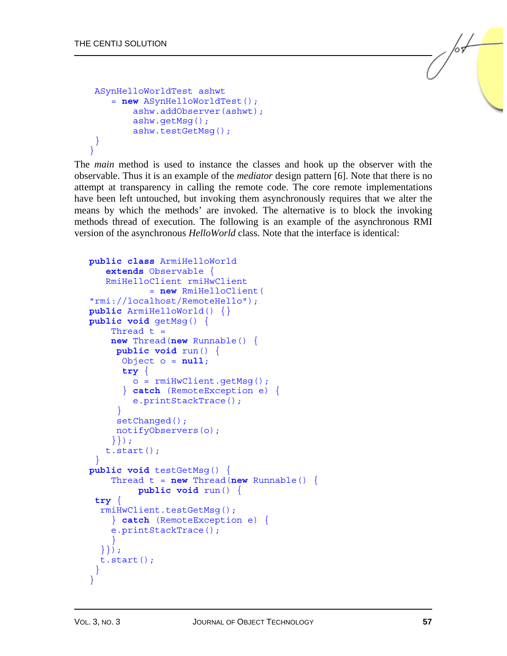```
 ASynHelloWorldTest ashwt 
     = new ASynHelloWorldTest(); 
          ashw.addObserver(ashwt); 
          ashw.getMsg(); 
          ashw.testGetMsg(); 
 } 
\mathbf{I}
```
The *main* method is used to instance the classes and hook up the observer with the observable. Thus it is an example of the *mediator* design pattern [6]. Note that there is no attempt at transparency in calling the remote code. The core remote implementations have been left untouched, but invoking them asynchronously requires that we alter the means by which the methods' are invoked. The alternative is to block the invoking methods thread of execution. The following is an example of the asynchronous RMI version of the asynchronous *HelloWorld* class. Note that the interface is identical:

```
public class ArmiHelloWorld 
    extends Observable { 
    RmiHelloClient rmiHwClient 
             = new RmiHelloClient( 
"rmi://localhost/RemoteHello"); 
public ArmiHelloWorld() {} 
public void getMsg() { 
    Thread t = new Thread(new Runnable() { 
      public void run() { 
       Object o = null; 
       try { 
         o = rmiHwClient.getMsg(); 
       } catch (RemoteException e) { 
         e.printStackTrace(); 
 } 
     setChanged();
      notifyObservers(o); 
     }}); 
    t.start(); 
 } 
public void testGetMsg() { 
    Thread t = new Thread(new Runnable() public void run() { 
 try { 
   rmiHwClient.testGetMsg(); 
     } catch (RemoteException e) { 
     e.printStackTrace(); 
 } 
   }}); 
   t.start(); 
  } 
}
```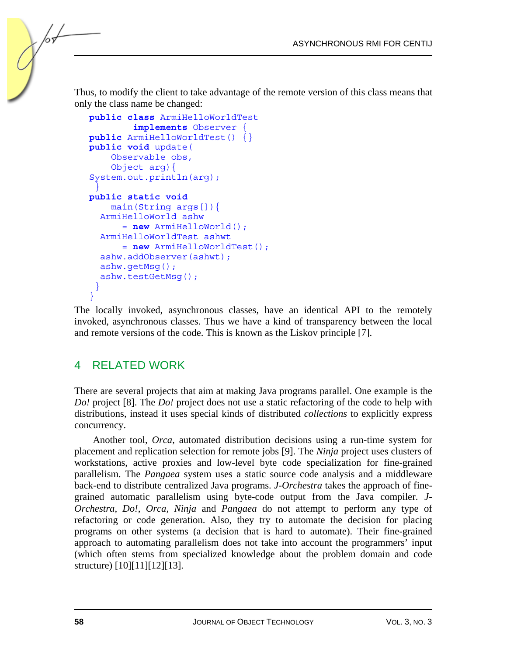Thus, to modify the client to take advantage of the remote version of this class means that only the class name be changed:

```
public class ArmiHelloWorldTest 
          implements Observer { 
public ArmiHelloWorldTest() {} 
public void update( 
     Observable obs, 
     Object arg){ 
System.out.println(arg); 
 } 
public static void 
     main(String args[]){ 
   ArmiHelloWorld ashw 
       = new ArmiHelloWorld(); 
   ArmiHelloWorldTest ashwt 
       = new ArmiHelloWorldTest(); 
   ashw.addObserver(ashwt); 
   ashw.getMsg(); 
   ashw.testGetMsg(); 
 } 
}
```
The locally invoked, asynchronous classes, have an identical API to the remotely invoked, asynchronous classes. Thus we have a kind of transparency between the local and remote versions of the code. This is known as the Liskov principle [7].

## 4 RELATED WORK

There are several projects that aim at making Java programs parallel. One example is the *Do!* project [8]. The *Do!* project does not use a static refactoring of the code to help with distributions, instead it uses special kinds of distributed *collections* to explicitly express concurrency.

Another tool, *Orca*, automated distribution decisions using a run-time system for placement and replication selection for remote jobs [9]. The *Ninja* project uses clusters of workstations, active proxies and low-level byte code specialization for fine-grained parallelism. The *Pangaea* system uses a static source code analysis and a middleware back-end to distribute centralized Java programs. *J-Orchestra* takes the approach of finegrained automatic parallelism using byte-code output from the Java compiler. *J-Orchestra*, *Do!*, *Orca, Ninja* and *Pangaea* do not attempt to perform any type of refactoring or code generation. Also, they try to automate the decision for placing programs on other systems (a decision that is hard to automate). Their fine-grained approach to automating parallelism does not take into account the programmers' input (which often stems from specialized knowledge about the problem domain and code structure) [10][11][12][13].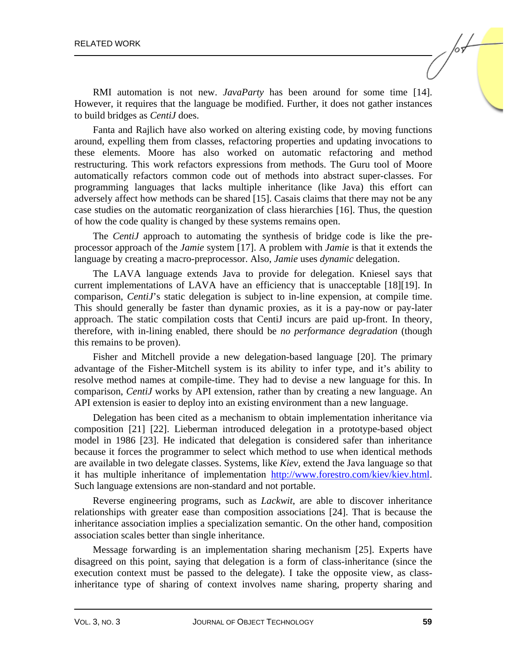RMI automation is not new. *JavaParty* has been around for some time [14]. However, it requires that the language be modified. Further, it does not gather instances to build bridges as *CentiJ* does.

Fanta and Rajlich have also worked on altering existing code, by moving functions around, expelling them from classes, refactoring properties and updating invocations to these elements. Moore has also worked on automatic refactoring and method restructuring. This work refactors expressions from methods. The Guru tool of Moore automatically refactors common code out of methods into abstract super-classes. For programming languages that lacks multiple inheritance (like Java) this effort can adversely affect how methods can be shared [15]. Casais claims that there may not be any case studies on the automatic reorganization of class hierarchies [16]. Thus, the question of how the code quality is changed by these systems remains open.

The *CentiJ* approach to automating the synthesis of bridge code is like the preprocessor approach of the *Jamie* system [17]. A problem with *Jamie* is that it extends the language by creating a macro-preprocessor. Also, *Jamie* uses *dynamic* delegation.

The LAVA language extends Java to provide for delegation. Kniesel says that current implementations of LAVA have an efficiency that is unacceptable [18][19]. In comparison, *CentiJ*'s static delegation is subject to in-line expension, at compile time. This should generally be faster than dynamic proxies, as it is a pay-now or pay-later approach. The static compilation costs that CentiJ incurs are paid up-front. In theory, therefore, with in-lining enabled, there should be *no performance degradation* (though this remains to be proven).

Fisher and Mitchell provide a new delegation-based language [20]. The primary advantage of the Fisher-Mitchell system is its ability to infer type, and it's ability to resolve method names at compile-time. They had to devise a new language for this. In comparison, *CentiJ* works by API extension, rather than by creating a new language. An API extension is easier to deploy into an existing environment than a new language.

Delegation has been cited as a mechanism to obtain implementation inheritance via composition [21] [22]. Lieberman introduced delegation in a prototype-based object model in 1986 [23]. He indicated that delegation is considered safer than inheritance because it forces the programmer to select which method to use when identical methods are available in two delegate classes. Systems, like *Kiev,* extend the Java language so that it has multiple inheritance of implementatio[n http://www.forestro.com/kiev/kiev.html.](http://www.forestro.com/kiev/kiev.html)  Such language extensions are non-standard and not portable.

Reverse engineering programs, such as *Lackwit*, are able to discover inheritance relationships with greater ease than composition associations [24]. That is because the inheritance association implies a specialization semantic. On the other hand, composition association scales better than single inheritance.

Message forwarding is an implementation sharing mechanism [25]. Experts have disagreed on this point, saying that delegation is a form of class-inheritance (since the execution context must be passed to the delegate). I take the opposite view, as classinheritance type of sharing of context involves name sharing, property sharing and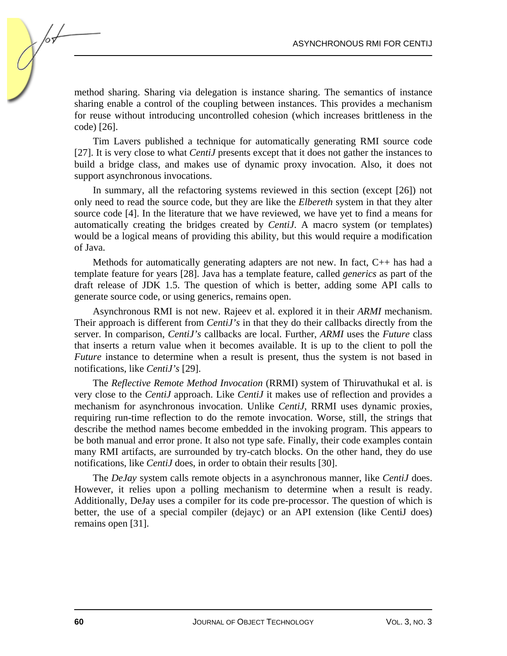method sharing. Sharing via delegation is instance sharing. The semantics of instance sharing enable a control of the coupling between instances. This provides a mechanism for reuse without introducing uncontrolled cohesion (which increases brittleness in the code) [26].

Tim Lavers published a technique for automatically generating RMI source code [27]. It is very close to what *CentiJ* presents except that it does not gather the instances to build a bridge class, and makes use of dynamic proxy invocation. Also, it does not support asynchronous invocations.

In summary, all the refactoring systems reviewed in this section (except [26]) not only need to read the source code, but they are like the *Elbereth* system in that they alter source code [4]. In the literature that we have reviewed, we have yet to find a means for automatically creating the bridges created by *CentiJ*. A macro system (or templates) would be a logical means of providing this ability, but this would require a modification of Java.

Methods for automatically generating adapters are not new. In fact, C++ has had a template feature for years [28]. Java has a template feature, called *generics* as part of the draft release of JDK 1.5. The question of which is better, adding some API calls to generate source code, or using generics, remains open.

Asynchronous RMI is not new. Rajeev et al. explored it in their *ARMI* mechanism. Their approach is different from *CentiJ's* in that they do their callbacks directly from the server. In comparison, *CentiJ's* callbacks are local. Further, *ARMI* uses the *Future* class that inserts a return value when it becomes available. It is up to the client to poll the *Future* instance to determine when a result is present, thus the system is not based in notifications, like *CentiJ's* [29].

The *Reflective Remote Method Invocation* (RRMI) system of Thiruvathukal et al. is very close to the *CentiJ* approach. Like *CentiJ* it makes use of reflection and provides a mechanism for asynchronous invocation. Unlike *CentiJ*, RRMI uses dynamic proxies, requiring run-time reflection to do the remote invocation. Worse, still, the strings that describe the method names become embedded in the invoking program. This appears to be both manual and error prone. It also not type safe. Finally, their code examples contain many RMI artifacts, are surrounded by try-catch blocks. On the other hand, they do use notifications, like *CentiJ* does, in order to obtain their results [30].

The *DeJay* system calls remote objects in a asynchronous manner, like *CentiJ* does. However, it relies upon a polling mechanism to determine when a result is ready. Additionally, DeJay uses a compiler for its code pre-processor. The question of which is better, the use of a special compiler (dejayc) or an API extension (like CentiJ does) remains open [31].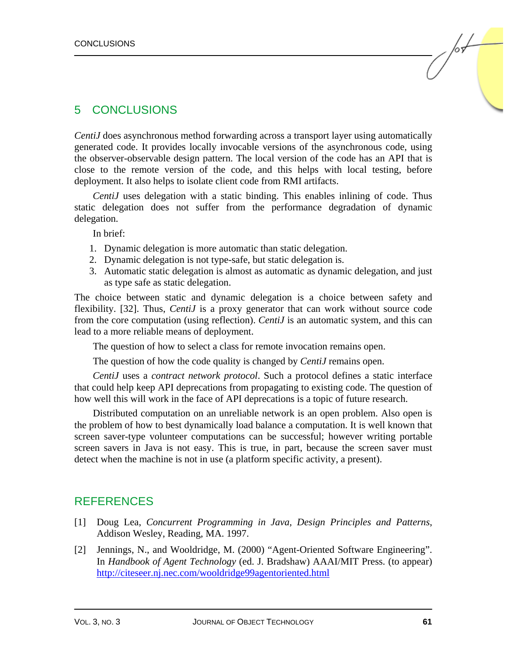### 5 CONCLUSIONS

*CentiJ* does asynchronous method forwarding across a transport layer using automatically generated code. It provides locally invocable versions of the asynchronous code, using the observer-observable design pattern. The local version of the code has an API that is close to the remote version of the code, and this helps with local testing, before deployment. It also helps to isolate client code from RMI artifacts.

*CentiJ* uses delegation with a static binding. This enables inlining of code. Thus static delegation does not suffer from the performance degradation of dynamic delegation.

In brief:

- 1. Dynamic delegation is more automatic than static delegation.
- 2. Dynamic delegation is not type-safe, but static delegation is.
- 3. Automatic static delegation is almost as automatic as dynamic delegation, and just as type safe as static delegation.

The choice between static and dynamic delegation is a choice between safety and flexibility. [32]. Thus, *CentiJ* is a proxy generator that can work without source code from the core computation (using reflection). *CentiJ* is an automatic system, and this can lead to a more reliable means of deployment.

The question of how to select a class for remote invocation remains open.

The question of how the code quality is changed by *CentiJ* remains open.

*CentiJ* uses a *contract network protocol*. Such a protocol defines a static interface that could help keep API deprecations from propagating to existing code. The question of how well this will work in the face of API deprecations is a topic of future research.

Distributed computation on an unreliable network is an open problem. Also open is the problem of how to best dynamically load balance a computation. It is well known that screen saver-type volunteer computations can be successful; however writing portable screen savers in Java is not easy. This is true, in part, because the screen saver must detect when the machine is not in use (a platform specific activity, a present).

#### REFERENCES

- [1] Doug Lea, *Concurrent Programming in Java, Design Principles and Patterns*, Addison Wesley, Reading, MA. 1997.
- [2] Jennings, N., and Wooldridge, M. (2000) "Agent-Oriented Software Engineering". In *Handbook of Agent Technology* (ed. J. Bradshaw) AAAI/MIT Press. (to appear) <http://citeseer.nj.nec.com/wooldridge99agentoriented.html>

lsL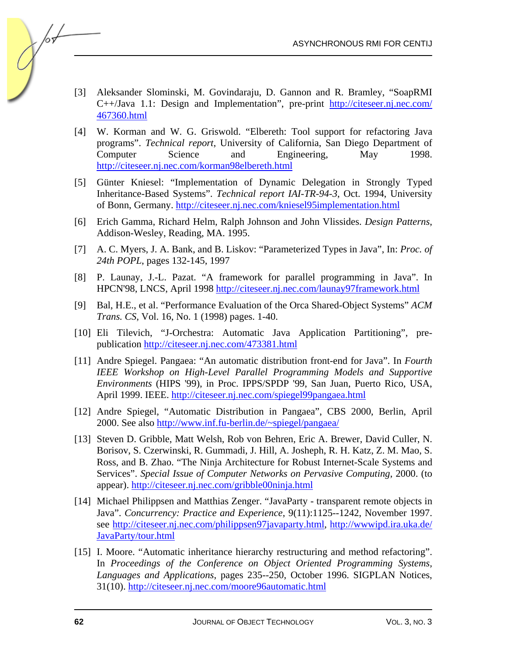- [3] Aleksander Slominski, M. Govindaraju, D. Gannon and R. Bramley, "SoapRMI C++/Java 1.1: Design and Implementation", pre-prin[t http://citeseer.nj.nec.com/](http://citeseer.nj.nec.com/467360.html) [467360.html](http://citeseer.nj.nec.com/467360.html)
- [4] W. Korman and W. G. Griswold. "Elbereth: Tool support for refactoring Java programs". *Technical report*, University of California, San Diego Department of Computer Science and Engineering, May 1998. <http://citeseer.nj.nec.com/korman98elbereth.html>
- [5] Günter Kniesel: "Implementation of Dynamic Delegation in Strongly Typed Inheritance-Based Systems". *Technical report IAI-TR-94-3*, Oct. 1994, University of Bonn, Germany.<http://citeseer.nj.nec.com/kniesel95implementation.html>
- [6] Erich Gamma, Richard Helm, Ralph Johnson and John Vlissides. *Design Patterns*, Addison-Wesley, Reading, MA. 1995.
- [7] A. C. Myers, J. A. Bank, and B. Liskov: "Parameterized Types in Java", In: *Proc. of 24th POPL*, pages 132-145, 1997
- [8] P. Launay, J.-L. Pazat. "A framework for parallel programming in Java". In HPCN'98, LNCS, April 199[8 http://citeseer.nj.nec.com/launay97framework.html](http://citeseer.nj.nec.com/launay97framework.html)
- [9] Bal, H.E., et al. "Performance Evaluation of the Orca Shared-Object Systems" *ACM Trans. CS*, Vol. 16, No. 1 (1998) pages. 1-40.
- [10] Eli Tilevich, "J-Orchestra: Automatic Java Application Partitioning", prepublicati[on http://citeseer.nj.nec.com/473381.html](http://citeseer.nj.nec.com/473381.html)
- [11] Andre Spiegel. Pangaea: "An automatic distribution front-end for Java". In *Fourth IEEE Workshop on High-Level Parallel Programming Models and Supportive Environments* (HIPS '99), in Proc. IPPS/SPDP '99, San Juan, Puerto Rico, USA, April 1999. IEEE[. http://citeseer.nj.nec.com/spiegel99pangaea.html](http://citeseer.nj.nec.com/spiegel99pangaea.html)
- [12] Andre Spiegel, "Automatic Distribution in Pangaea", CBS 2000, Berlin, April 2000. See als[o http://www.inf.fu-berlin.de/~spiegel/pangaea/](http://www.inf.fu-berlin.de/~spiegel/pangaea/)
- [13] Steven D. Gribble, Matt Welsh, Rob von Behren, Eric A. Brewer, David Culler, N. Borisov, S. Czerwinski, R. Gummadi, J. Hill, A. Josheph, R. H. Katz, Z. M. Mao, S. Ross, and B. Zhao. "The Ninja Architecture for Robust Internet-Scale Systems and Services". *Special Issue of Computer Networks on Pervasive Computing*, 2000. (to appear[\). http://citeseer.nj.nec.com/gribble00ninja.html](http://citeseer.nj.nec.com/gribble00ninja.html)
- [14] Michael Philippsen and Matthias Zenger. "JavaParty transparent remote objects in Java". *Concurrency: Practice and Experience*, 9(11):1125--1242, November 1997. se[e http://citeseer.nj.nec.com/philippsen97javaparty.html, http://wwwipd.ira.uka.de/](http://citeseer.nj.nec.com/philippsen97javaparty.html, http://wwwipd.ira.uka.de/JavaParty/tour.html) JavaParty/tour.html
- [15] I. Moore. "Automatic inheritance hierarchy restructuring and method refactoring". In *Proceedings of the Conference on Object Oriented Programming Systems, Languages and Applications*, pages 235--250, October 1996. SIGPLAN Notices, 31(10[\). http://citeseer.nj.nec.com/moore96automatic.html](http://citeseer.nj.nec.com/moore96automatic.html)

/or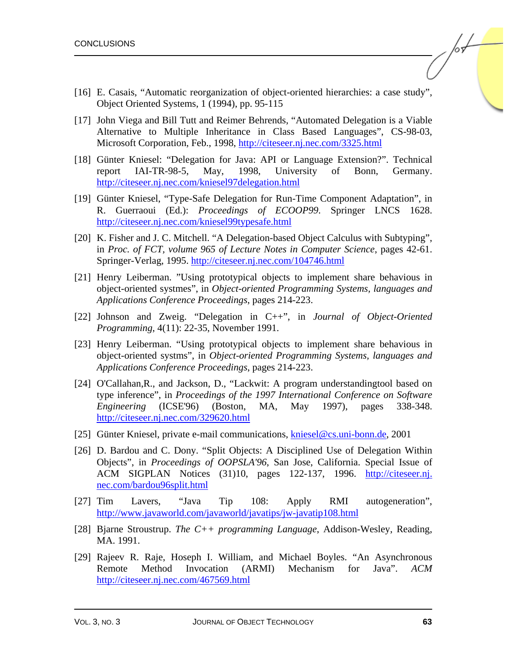- [16] E. Casais, "Automatic reorganization of object-oriented hierarchies: a case study", Object Oriented Systems, 1 (1994), pp. 95-115
- [17] John Viega and Bill Tutt and Reimer Behrends, "Automated Delegation is a Viable Alternative to Multiple Inheritance in Class Based Languages", CS-98-03, Microsoft Corporation, Feb., 199[8, http://citeseer.nj.nec.com/3325.html](http://citeseer.nj.nec.com/3325.html)
- [18] Günter Kniesel: "Delegation for Java: API or Language Extension?". Technical report IAI-TR-98-5, May, 1998, University of Bonn, Germany. <http://citeseer.nj.nec.com/kniesel97delegation.html>
- [19] Günter Kniesel, "Type-Safe Delegation for Run-Time Component Adaptation", in R. Guerraoui (Ed.): *Proceedings of ECOOP99*. Springer LNCS 1628. <http://citeseer.nj.nec.com/kniesel99typesafe.html>
- [20] K. Fisher and J. C. Mitchell. "A Delegation-based Object Calculus with Subtyping", in *Proc. of FCT, volume 965 of Lecture Notes in Computer Science*, pages 42-61. Springer-Verlag, 1995[. http://citeseer.nj.nec.com/104746.html](http://citeseer.nj.nec.com/104746.html)
- [21] Henry Leiberman. "Using prototypical objects to implement share behavious in object-oriented systmes", in *Object-oriented Programming Systems, languages and Applications Conference Proceedings*, pages 214-223.
- [22] Johnson and Zweig. "Delegation in C++", in *Journal of Object-Oriented Programming*, 4(11): 22-35, November 1991.
- [23] Henry Leiberman. "Using prototypical objects to implement share behavious in object-oriented systms", in *Object-oriented Programming Systems, languages and Applications Conference Proceedings*, pages 214-223.
- [24] O'Callahan,R., and Jackson, D., "Lackwit: A program understandingtool based on type inference", in *Proceedings of the 1997 International Conference on Software Engineering* (ICSE'96) (Boston, MA, May 1997), pages 338-348. <http://citeseer.nj.nec.com/329620.html>
- [25] Günter Kniesel, private e-mail communications[, kniesel@cs.uni-bonn.de,](mailto:kniesel@cs.uni-bonn.de) 2001
- [26] D. Bardou and C. Dony. "Split Objects: A Disciplined Use of Delegation Within Objects", in *Proceedings of OOPSLA'96*, San Jose, California. Special Issue of ACM SIGPLAN Notices (31)10, pages 122-137, 1996. [http://citeseer.nj.](http://citeseer.nj.nec.com/bardou96split.html) [nec.com/bardou96split.html](http://citeseer.nj.nec.com/bardou96split.html)
- [27] Tim Lavers, "Java Tip 108: Apply RMI autogeneration", <http://www.javaworld.com/javaworld/javatips/jw-javatip108.html>
- [28] Bjarne Stroustrup. *The C++ programming Language*, Addison-Wesley, Reading, MA. 1991.
- [29] Rajeev R. Raje, Hoseph I. William, and Michael Boyles. "An Asynchronous Remote Method Invocation (ARMI) Mechanism for Java". *ACM* <http://citeseer.nj.nec.com/467569.html>

/or